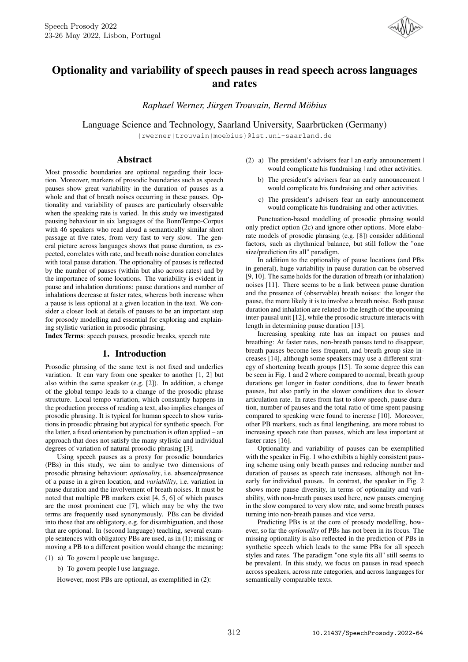

# Optionality and variability of speech pauses in read speech across languages and rates

*Raphael Werner, Jürgen Trouvain, Bernd Möbius*

Language Science and Technology, Saarland University, Saarbrücken (Germany)

{rwerner|trouvain|moebius}@lst.uni-saarland.de

# Abstract

Most prosodic boundaries are optional regarding their location. Moreover, markers of prosodic boundaries such as speech pauses show great variability in the duration of pauses as a whole and that of breath noises occurring in these pauses. Optionality and variability of pauses are particularly observable when the speaking rate is varied. In this study we investigated pausing behaviour in six languages of the BonnTempo-Corpus with 46 speakers who read aloud a semantically similar short passage at five rates, from very fast to very slow. The general picture across languages shows that pause duration, as expected, correlates with rate, and breath noise duration correlates with total pause duration. The optionality of pauses is reflected by the number of pauses (within but also across rates) and by the importance of some locations. The variability is evident in pause and inhalation durations: pause durations and number of inhalations decrease at faster rates, whereas both increase when a pause is less optional at a given location in the text. We consider a closer look at details of pauses to be an important step for prosody modelling and essential for exploring and explaining stylistic variation in prosodic phrasing.

Index Terms: speech pauses, prosodic breaks, speech rate

### 1. Introduction

Prosodic phrasing of the same text is not fixed and underlies variation. It can vary from one speaker to another [1, 2] but also within the same speaker (e.g. [2]). In addition, a change of the global tempo leads to a change of the prosodic phrase structure. Local tempo variation, which constantly happens in the production process of reading a text, also implies changes of prosodic phrasing. It is typical for human speech to show variations in prosodic phrasing but atypical for synthetic speech. For the latter, a fixed orientation by punctuation is often applied – an approach that does not satisfy the many stylistic and individual degrees of variation of natural prosodic phrasing [3].

Using speech pauses as a proxy for prosodic boundaries (PBs) in this study, we aim to analyse two dimensions of prosodic phrasing behaviour: *optionality*, i.e. absence/presence of a pause in a given location, and *variability*, i.e. variation in pause duration and the involvement of breath noises. It must be noted that multiple PB markers exist [4, 5, 6] of which pauses are the most prominent cue [7], which may be why the two terms are frequently used synonymously. PBs can be divided into those that are obligatory, e.g. for disambiguation, and those that are optional. In (second language) teaching, several example sentences with obligatory PBs are used, as in (1); missing or moving a PB to a different position would change the meaning:

- (1) a) To govern | people use language.
	- b) To govern people | use language.

However, most PBs are optional, as exemplified in (2):

- (2) a) The president's advisers fear | an early announcement | would complicate his fundraising | and other activities.
	- b) The president's advisers fear an early announcement | would complicate his fundraising and other activities.
	- c) The president's advisers fear an early announcement would complicate his fundraising and other activities.

Punctuation-based modelling of prosodic phrasing would only predict option (2c) and ignore other options. More elaborate models of prosodic phrasing (e.g. [8]) consider additional factors, such as rhythmical balance, but still follow the "one size/prediction fits all" paradigm.

In addition to the optionality of pause locations (and PBs in general), huge variability in pause duration can be observed [9, 10]. The same holds for the duration of breath (or inhalation) noises [11]. There seems to be a link between pause duration and the presence of (observable) breath noises: the longer the pause, the more likely it is to involve a breath noise. Both pause duration and inhalation are related to the length of the upcoming inter-pausal unit [12], while the prosodic structure interacts with length in determining pause duration [13].

Increasing speaking rate has an impact on pauses and breathing: At faster rates, non-breath pauses tend to disappear, breath pauses become less frequent, and breath group size increases [14], although some speakers may use a different strategy of shortening breath groups [15]. To some degree this can be seen in Fig. 1 and 2 where compared to normal, breath group durations get longer in faster conditions, due to fewer breath pauses, but also partly in the slower conditions due to slower articulation rate. In rates from fast to slow speech, pause duration, number of pauses and the total ratio of time spent pausing compared to speaking were found to increase [10]. Moreover, other PB markers, such as final lengthening, are more robust to increasing speech rate than pauses, which are less important at faster rates [16].

Optionality and variability of pauses can be exemplified with the speaker in Fig. 1 who exhibits a highly consistent pausing scheme using only breath pauses and reducing number and duration of pauses as speech rate increases, although not linearly for individual pauses. In contrast, the speaker in Fig. 2 shows more pause diversity, in terms of optionality and variability, with non-breath pauses used here, new pauses emerging in the slow compared to very slow rate, and some breath pauses turning into non-breath pauses and vice versa.

Predicting PBs is at the core of prosody modelling, however, so far the *optionality* of PBs has not been in its focus. The missing optionality is also reflected in the prediction of PBs in synthetic speech which leads to the same PBs for all speech styles and rates. The paradigm "one style fits all" still seems to be prevalent. In this study, we focus on pauses in read speech across speakers, across rate categories, and across languages for semantically comparable texts.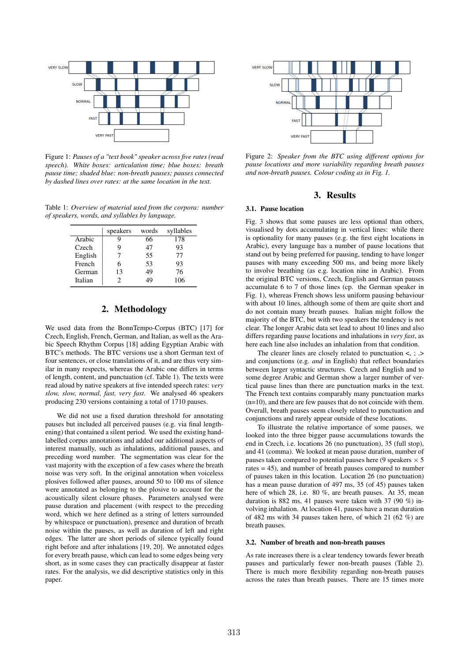

Figure 1: *Pauses of a "text book" speaker across five rates (read speech). White boxes: articulation time; blue boxes: breath pause time; shaded blue: non-breath pauses; pauses connected by dashed lines over rates: at the same location in the text.*

Table 1: *Overview of material used from the corpora: number of speakers, words, and syllables by language.*

|         | speakers | words | syllables |  |
|---------|----------|-------|-----------|--|
| Arabic  | g        | 66    | 178       |  |
| Czech   | g        | 47    | 93        |  |
| English |          | 55    | 77        |  |
| French  | 6        | 53    | 93        |  |
| German  | 13       | 49    | 76        |  |
| Italian |          | 1G    | 106       |  |

# 2. Methodology

We used data from the BonnTempo-Corpus (BTC) [17] for Czech, English, French, German, and Italian, as well as the Arabic Speech Rhythm Corpus [18] adding Egyptian Arabic with BTC's methods. The BTC versions use a short German text of four sentences, or close translations of it, and are thus very similar in many respects, whereas the Arabic one differs in terms of length, content, and punctuation (cf. Table 1). The texts were read aloud by native speakers at five intended speech rates: *very slow, slow, normal, fast, very fast*. We analysed 46 speakers producing 230 versions containing a total of 1710 pauses.

We did not use a fixed duration threshold for annotating pauses but included all perceived pauses (e.g. via final lengthening) that contained a silent period. We used the existing handlabelled corpus annotations and added our additional aspects of interest manually, such as inhalations, additional pauses, and preceding word number. The segmentation was clear for the vast majority with the exception of a few cases where the breath noise was very soft. In the original annotation when voiceless plosives followed after pauses, around 50 to 100 ms of silence were annotated as belonging to the plosive to account for the acoustically silent closure phases. Parameters analysed were pause duration and placement (with respect to the preceding word, which we here defined as a string of letters surrounded by whitespace or punctuation), presence and duration of breath noise within the pauses, as well as duration of left and right edges. The latter are short periods of silence typically found right before and after inhalations [19, 20]. We annotated edges for every breath pause, which can lead to some edges being very short, as in some cases they can practically disappear at faster rates. For the analysis, we did descriptive statistics only in this paper.



Figure 2: *Speaker from the BTC using different options for pause locations and more variability regarding breath pauses and non-breath pauses. Colour coding as in Fig. 1.*

# 3. Results

#### 3.1. Pause location

Fig. 3 shows that some pauses are less optional than others, visualised by dots accumulating in vertical lines: while there is optionality for many pauses (e.g. the first eight locations in Arabic), every language has a number of pause locations that stand out by being preferred for pausing, tending to have longer pauses with many exceeding 500 ms, and being more likely to involve breathing (as e.g. location nine in Arabic). From the original BTC versions, Czech, English and German pauses accumulate 6 to 7 of those lines (cp. the German speaker in Fig. 1), whereas French shows less uniform pausing behaviour with about 10 lines, although some of them are quite short and do not contain many breath pauses. Italian might follow the majority of the BTC, but with two speakers the tendency is not clear. The longer Arabic data set lead to about 10 lines and also differs regarding pause locations and inhalations in *very fast*, as here each line also includes an inhalation from that condition.

The clearer lines are closely related to punctuation  $\lt$ , ; .> and conjunctions (e.g. *and* in English) that reflect boundaries between larger syntactic structures. Czech and English and to some degree Arabic and German show a larger number of vertical pause lines than there are punctuation marks in the text. The French text contains comparably many punctuation marks (n=10), and there are few pauses that do not coincide with them. Overall, breath pauses seem closely related to punctuation and conjunctions and rarely appear outside of these locations.

To illustrate the relative importance of some pauses, we looked into the three bigger pause accumulations towards the end in Czech, i.e. locations 26 (no punctuation), 35 (full stop), and 41 (comma). We looked at mean pause duration, number of pauses taken compared to potential pauses here (9 speakers  $\times$  5 rates = 45), and number of breath pauses compared to number of pauses taken in this location. Location 26 (no punctuation) has a mean pause duration of 497 ms, 35 (of 45) pauses taken here of which 28, i.e. 80 %, are breath pauses. At 35, mean duration is 882 ms, 41 pauses were taken with 37 (90 %) involving inhalation. At location 41, pauses have a mean duration of 482 ms with 34 pauses taken here, of which 21 (62 %) are breath pauses.

#### 3.2. Number of breath and non-breath pauses

As rate increases there is a clear tendency towards fewer breath pauses and particularly fewer non-breath pauses (Table 2). There is much more flexibility regarding non-breath pauses across the rates than breath pauses. There are 15 times more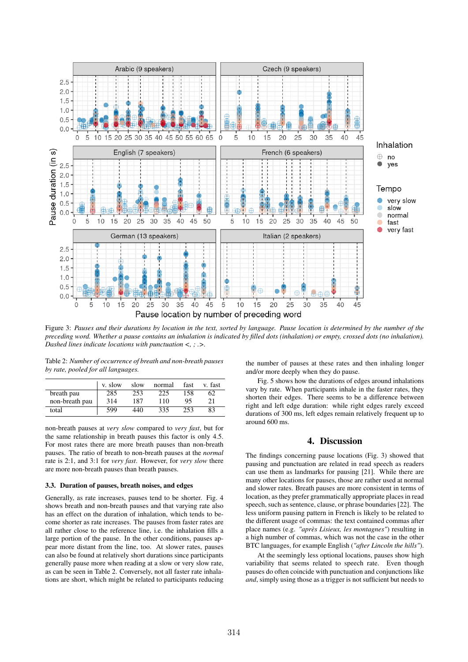

Figure 3: *Pauses and their durations by location in the text, sorted by language. Pause location is determined by the number of the preceding word. Whether a pause contains an inhalation is indicated by filled dots (inhalation) or empty, crossed dots (no inhalation). Dashed lines indicate locations with punctuation <, ; .>.*

Table 2: *Number of occurrence of breath and non-breath pauses by rate, pooled for all languages.*

|                | v. slow | slow | normal | fast | v. fast |
|----------------|---------|------|--------|------|---------|
| breath pau     | 285     | 253  | 225    | 158  | 62      |
| non-breath pau | 314     | 187  | 110    | 95   | 21      |
| total          | 599     | 440  | 335    | 253  | 83      |

non-breath pauses at *very slow* compared to *very fast*, but for the same relationship in breath pauses this factor is only 4.5. For most rates there are more breath pauses than non-breath pauses. The ratio of breath to non-breath pauses at the *normal* rate is 2:1, and 3:1 for *very fast*. However, for *very slow* there are more non-breath pauses than breath pauses.

#### 3.3. Duration of pauses, breath noises, and edges

Generally, as rate increases, pauses tend to be shorter. Fig. 4 shows breath and non-breath pauses and that varying rate also has an effect on the duration of inhalation, which tends to become shorter as rate increases. The pauses from faster rates are all rather close to the reference line, i.e. the inhalation fills a large portion of the pause. In the other conditions, pauses appear more distant from the line, too. At slower rates, pauses can also be found at relatively short durations since participants generally pause more when reading at a slow or very slow rate, as can be seen in Table 2. Conversely, not all faster rate inhalations are short, which might be related to participants reducing

the number of pauses at these rates and then inhaling longer and/or more deeply when they do pause.

Fig. 5 shows how the durations of edges around inhalations vary by rate. When participants inhale in the faster rates, they shorten their edges. There seems to be a difference between right and left edge duration: while right edges rarely exceed durations of 300 ms, left edges remain relatively frequent up to around 600 ms.

### 4. Discussion

The findings concerning pause locations (Fig. 3) showed that pausing and punctuation are related in read speech as readers can use them as landmarks for pausing [21]. While there are many other locations for pauses, those are rather used at normal and slower rates. Breath pauses are more consistent in terms of location, as they prefer grammatically appropriate places in read speech, such as sentence, clause, or phrase boundaries [22]. The less uniform pausing pattern in French is likely to be related to the different usage of commas: the text contained commas after place names (e.g. *"après Lisieux, les montagnes"*) resulting in a high number of commas, which was not the case in the other BTC languages, for example English (*"after Lincoln the hills"*).

At the seemingly less optional locations, pauses show high variability that seems related to speech rate. Even though pauses do often coincide with punctuation and conjunctions like *and*, simply using those as a trigger is not sufficient but needs to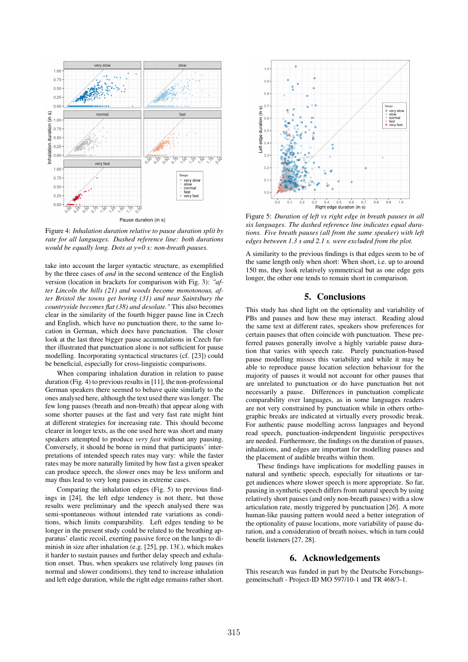

Figure 4: *Inhalation duration relative to pause duration split by rate for all languages. Dashed reference line: both durations would be equally long. Dots at y=0 s: non-breath pauses.*

take into account the larger syntactic structure, as exemplified by the three cases of *and* in the second sentence of the English version (location in brackets for comparison with Fig. 3): *"after Lincoln the hills (21) and woods become monotonous, after Bristol the towns get boring (31) and near Saintsbury the countryside becomes flat (38) and desolate."* This also becomes clear in the similarity of the fourth bigger pause line in Czech and English, which have no punctuation there, to the same location in German, which does have punctuation. The closer look at the last three bigger pause accumulations in Czech further illustrated that punctuation alone is not sufficient for pause modelling. Incorporating syntactical structures (cf. [23]) could be beneficial, especially for cross-linguistic comparisons.

When comparing inhalation duration in relation to pause duration (Fig. 4) to previous results in [11], the non-professional German speakers there seemed to behave quite similarly to the ones analysed here, although the text used there was longer. The few long pauses (breath and non-breath) that appear along with some shorter pauses at the fast and very fast rate might hint at different strategies for increasing rate. This should become clearer in longer texts, as the one used here was short and many speakers attempted to produce *very fast* without any pausing. Conversely, it should be borne in mind that participants' interpretations of intended speech rates may vary: while the faster rates may be more naturally limited by how fast a given speaker can produce speech, the slower ones may be less uniform and may thus lead to very long pauses in extreme cases.

Comparing the inhalation edges (Fig. 5) to previous findings in [24], the left edge tendency is not there, but those results were preliminary and the speech analysed there was semi-spontaneous without intended rate variations as conditions, which limits comparability. Left edges tending to be longer in the present study could be related to the breathing apparatus' elastic recoil, exerting passive force on the lungs to diminish in size after inhalation (e.g. [25], pp. 13f.), which makes it harder to sustain pauses and further delay speech and exhalation onset. Thus, when speakers use relatively long pauses (in normal and slower conditions), they tend to increase inhalation and left edge duration, while the right edge remains rather short.



Figure 5: *Duration of left vs right edge in breath pauses in all six languages. The dashed reference line indicates equal durations. Five breath pauses (all from the same speaker) with left edges between 1.3 s and 2.1 s. were excluded from the plot.*

A similarity to the previous findings is that edges seem to be of the same length only when short: When short, i.e. up to around 150 ms, they look relatively symmetrical but as one edge gets longer, the other one tends to remain short in comparison.

# 5. Conclusions

This study has shed light on the optionality and variability of PBs and pauses and how these may interact. Reading aloud the same text at different rates, speakers show preferences for certain pauses that often coincide with punctuation. These preferred pauses generally involve a highly variable pause duration that varies with speech rate. Purely punctuation-based pause modelling misses this variability and while it may be able to reproduce pause location selection behaviour for the majority of pauses it would not account for other pauses that are unrelated to punctuation or do have punctuation but not necessarily a pause. Differences in punctuation complicate comparability over languages, as in some languages readers are not very constrained by punctuation while in others orthographic breaks are indicated at virtually every prosodic break. For authentic pause modelling across languages and beyond read speech, punctuation-independent linguistic perspectives are needed. Furthermore, the findings on the duration of pauses, inhalations, and edges are important for modelling pauses and the placement of audible breaths within them.

These findings have implications for modelling pauses in natural and synthetic speech, especially for situations or target audiences where slower speech is more appropriate. So far, pausing in synthetic speech differs from natural speech by using relatively short pauses (and only non-breath pauses) with a slow articulation rate, mostly triggered by punctuation [26]. A more human-like pausing pattern would need a better integration of the optionality of pause locations, more variability of pause duration, and a consideration of breath noises, which in turn could benefit listeners [27, 28].

# 6. Acknowledgements

This research was funded in part by the Deutsche Forschungsgemeinschaft - Project-ID MO 597/10-1 and TR 468/3-1.